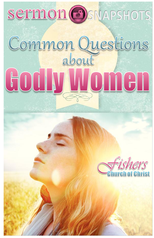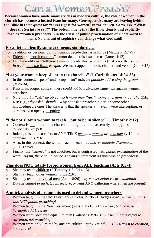# Can a Woman Preach?

**Because women have made many strides in modern culture, the role of women in the church has become a heated issue for many. Consequently, many are leaving behind the Bible in their quest for "equal rights for women" in the church. So we ask, "What does the Scripture say?" The bottom line is that the Bible clearly and explicitly forbids "women preachers" (in the sense of public proclamation of God's word to men). No amount of sophistry can change what God said!** 

#### **First, let us identify some erroneous standards…**

- o Tradition or personal opinion cannot decide this issue for us (Matthew 15:7-9)
- o Elders or "church councils" cannot decide this issue for us (James 4:12)
- o Female ability or intelligence cannot decide this issue for us (that's not the issue)
- o *In truth, only the Bible is right!* We must appeal to book, chapter, and verse! (Col. 3:17)

#### **"Let your women keep silent in the churches" (1 Corinthians 14:34-35)**

- o In this context, "speak" and "keep silent" indicate *publicly addressing the group*  $(v.26-34)$
- o Kept in its proper context, there *could not be a stronger statement* against women preachers!
- o Note: In v.35, "ask" involved *much more than "just" asking questions* (v.33, 34b, 35b, 40): E.g., *why ask husbands?* Why not ask a preacher, elder, or some other knowledgeable one? The answer is that the speaker's *"wives"* were interrupting, or perhaps even openly disputing

#### **"I do not allow a woman to teach…but to be in silence" (1 Timothy 2:12)**

- $\overline{\circ}$  Context is not limited to a church building or church assembly, but applies *"everywhere"* (v.8)
- o Indeed, this context refers to ANY TIME *men and women are together* (v.12; but compare Titus 2:3-5)
- o Also, in this context, the word "teach" means *"to deliver didactic discourses"*  ( J.H. Thayer)
- o Finally, the *"silence"* is not absolute, but is contrasted with *public proclamation* of the word. *Again, there could not be a stronger statement against women preachers!*

#### **This does NOT totally forbid women from ALL teaching (Acts 8:3-4)**

- o She may teach children (2 Timothy 1:5; 3:14-15)
- o She may teach other women (Titus 2:3-5)
- o She may teach individual men (Acts 18:26) *– by conversation vs. proclamation*
- o But she *cannot preach, teach, lecture, or lead* ANY gathering where men are present**!**

#### **A quick analysis of arguments used to defend women preachers**

- o Women taught in the Old Testament (Exodus 15:20-21; Judges 4:4-5) *– true, but this was NOT public preaching!*
- o Women taught in the New Testament (Acts 2:17-18; 21:9) *– true, but we must harmonize ALL verses*
- o Women were "declared equal" to men (Galatians 3:26-28) *– true, but this refers to salvation, not preaching*
- o Women were only limited by ancient culture *– yet 1 Timothy 2:13-14 ties it to creation, not culture!*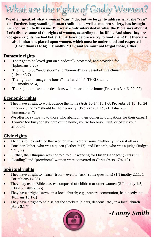# What are the rights of Godly Women?

**We often speak of what a woman "can't" do, but we forget to address what she "can" do! Further, long-standing human tradition, as well as modern society, has brought much confusion to this issue. But we are only interested in what the Bible says about it. Let's discuss some of the rights of women, according to the Bible. And since they are God-given rights, we had better think twice before we try to limit them! But there are also limitations placed upon women, which must be understood and respected (Corinthians 14:34; 1 Timothy 2:12); and we must not forgot those, either!**

#### **Domestic rights**

- The right to be loved (put on a pedestal), protected, and provided for (Ephesians 5:25)
- The right to be "understood" and "honored" as a vessel of fine china (1 Peter 3:7)
- The right to "manage the house" -- after all, it's THEIR domain! (1 Timothy 5:14)
- The right to make some decisions with regard to the home (Proverbs 31:16, 20, 27)

#### **Economic rights**

- They have a right to work outside the home (Acts 16:14; 18:1-3; Proverbs 31:13, 16, 24)
- Of course, "home" should be their priority! (Proverbs 31:15, 21; Titus 2:5, "homemakers")
- We offer no sympathy to those who abandon their domestic obligations for their career!
- If you're too busy to take care of the home, you're too busy! Quit, or adjust your schedule!

#### **Civic rights**

- There is some evidence that women may exercise some "authority" in civil affairs
- Consider Esther, who was a queen (Esther 2:17); and Deborah, who was a judge (Judges 4:4; 5:7)
- Further, the Ethiopian was not told to quit working for Queen Candace! (Acts 8:27)
- "Leading" and "prominent" women were converted to Christ (Acts 17:4, 12)

#### **Spiritual rights**

- They have a right to "learn" truth even to "ask" some questions! (1 Timothy 2:11; 1) Corinthians 14:35)
- They may teach Bible classes composed of children or other women (2 Timothy 1:5; 3:14-15; Titus 2:3-5)
- They have a right "serve" in a local church; e.g., prepare communion, help needy, etc. (Romans 16:1-2)
- They have a right to help select the workers (elders, deacons, etc.) in a local church (Acts 6:1-7)



*-Lanny Smith*